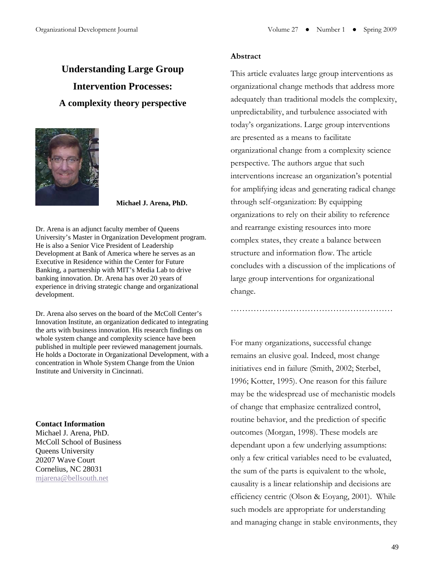# **Understanding Large Group Intervention Processes: A complexity theory perspective**



**Michael J. Arena, PhD.** 

Dr. Arena is an adjunct faculty member of Queens University's Master in Organization Development program. He is also a Senior Vice President of Leadership Development at Bank of America where he serves as an Executive in Residence within the Center for Future Banking, a partnership with MIT's Media Lab to drive banking innovation. Dr. Arena has over 20 years of experience in driving strategic change and organizational development.

Dr. Arena also serves on the board of the McColl Center's Innovation Institute, an organization dedicated to integrating the arts with business innovation. His research findings on whole system change and complexity science have been published in multiple peer reviewed management journals. He holds a Doctorate in Organizational Development, with a concentration in Whole System Change from the Union Institute and University in Cincinnati.

#### **Contact Information**

Michael J. Arena, PhD. McColl School of Business Queens University 20207 Wave Court Cornelius, NC 28031 [mjarena@bellsouth.net](mailto:mjarena@bellsouth.net)

#### **Abstract**

This article evaluates large group interventions as organizational change methods that address more adequately than traditional models the complexity, unpredictability, and turbulence associated with today's organizations. Large group interventions are presented as a means to facilitate organizational change from a complexity science perspective. The authors argue that such interventions increase an organization's potential for amplifying ideas and generating radical change through self-organization: By equipping organizations to rely on their ability to reference and rearrange existing resources into more complex states, they create a balance between structure and information flow. The article concludes with a discussion of the implications of large group interventions for organizational change.

For many organizations, successful change remains an elusive goal. Indeed, most change initiatives end in failure (Smith, 2002; Sterbel, 1996; Kotter, 1995). One reason for this failure may be the widespread use of mechanistic models of change that emphasize centralized control, routine behavior, and the prediction of specific outcomes (Morgan, 1998). These models are dependant upon a few underlying assumptions: only a few critical variables need to be evaluated, the sum of the parts is equivalent to the whole, causality is a linear relationship and decisions are efficiency centric (Olson & Eoyang, 2001). While such models are appropriate for understanding and managing change in stable environments, they

…………………………………………………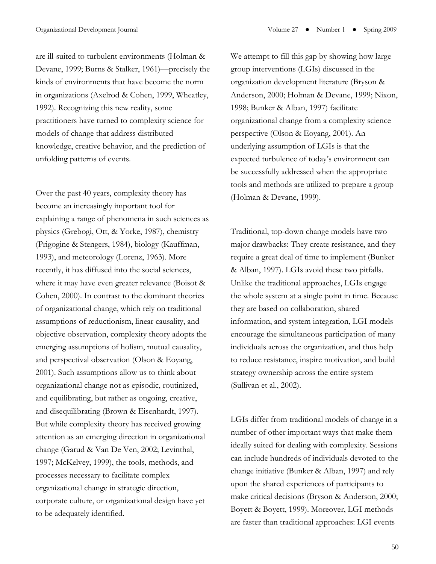are ill-suited to turbulent environments (Holman & Devane, 1999; Burns & Stalker, 1961)—precisely the kinds of environments that have become the norm in organizations (Axelrod & Cohen, 1999, Wheatley, 1992). Recognizing this new reality, some practitioners have turned to complexity science for models of change that address distributed knowledge, creative behavior, and the prediction of unfolding patterns of events.

Over the past 40 years, complexity theory has become an increasingly important tool for explaining a range of phenomena in such sciences as physics (Grebogi, Ott, & Yorke, 1987), chemistry (Prigogine & Stengers, 1984), biology (Kauffman, 1993), and meteorology (Lorenz, 1963). More recently, it has diffused into the social sciences, where it may have even greater relevance (Boisot & Cohen, 2000). In contrast to the dominant theories of organizational change, which rely on traditional assumptions of reductionism, linear causality, and objective observation, complexity theory adopts the emerging assumptions of holism, mutual causality, and perspectival observation (Olson & Eoyang, 2001). Such assumptions allow us to think about organizational change not as episodic, routinized, and equilibrating, but rather as ongoing, creative, and disequilibrating (Brown & Eisenhardt, 1997). But while complexity theory has received growing attention as an emerging direction in organizational change (Garud & Van De Ven, 2002; Levinthal, 1997; McKelvey, 1999), the tools, methods, and processes necessary to facilitate complex organizational change in strategic direction, corporate culture, or organizational design have yet to be adequately identified.

We attempt to fill this gap by showing how large group interventions (LGIs) discussed in the organization development literature (Bryson & Anderson, 2000; Holman & Devane, 1999; Nixon, 1998; Bunker & Alban, 1997) facilitate organizational change from a complexity science perspective (Olson & Eoyang, 2001). An underlying assumption of LGIs is that the expected turbulence of today's environment can be successfully addressed when the appropriate tools and methods are utilized to prepare a group (Holman & Devane, 1999).

Traditional, top-down change models have two major drawbacks: They create resistance, and they require a great deal of time to implement (Bunker & Alban, 1997). LGIs avoid these two pitfalls. Unlike the traditional approaches, LGIs engage the whole system at a single point in time. Because they are based on collaboration, shared information, and system integration, LGI models encourage the simultaneous participation of many individuals across the organization, and thus help to reduce resistance, inspire motivation, and build strategy ownership across the entire system (Sullivan et al., 2002).

LGIs differ from traditional models of change in a number of other important ways that make them ideally suited for dealing with complexity. Sessions can include hundreds of individuals devoted to the change initiative (Bunker & Alban, 1997) and rely upon the shared experiences of participants to make critical decisions (Bryson & Anderson, 2000; Boyett & Boyett, 1999). Moreover, LGI methods are faster than traditional approaches: LGI events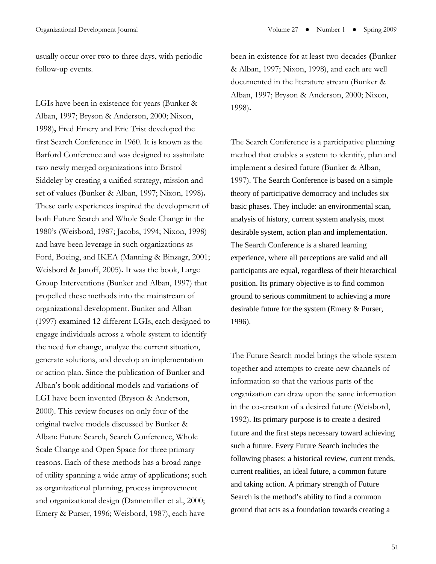usually occur over two to three days, with periodic follow-up events.

LGIs have been in existence for years (Bunker & Alban, 1997; Bryson & Anderson, 2000; Nixon, 1998)**,** Fred Emery and Eric Trist developed the first Search Conference in 1960. It is known as the Barford Conference and was designed to assimilate two newly merged organizations into Bristol Siddeley by creating a unified strategy, mission and set of values (Bunker & Alban, 1997; Nixon, 1998)**.** These early experiences inspired the development of both Future Search and Whole Scale Change in the 1980's (Weisbord, 1987; Jacobs, 1994; Nixon, 1998) and have been leverage in such organizations as Ford, Boeing, and IKEA (Manning & Binzagr, 2001; Weisbord & Janoff, 2005)**.** It was the book, Large Group Interventions (Bunker and Alban, 1997) that propelled these methods into the mainstream of organizational development. Bunker and Alban (1997) examined 12 different LGIs, each designed to engage individuals across a whole system to identify the need for change, analyze the current situation, generate solutions, and develop an implementation or action plan. Since the publication of Bunker and Alban's book additional models and variations of LGI have been invented (Bryson & Anderson, 2000). This review focuses on only four of the original twelve models discussed by Bunker & Alban: Future Search, Search Conference, Whole Scale Change and Open Space for three primary reasons. Each of these methods has a broad range of utility spanning a wide array of applications; such as organizational planning, process improvement and organizational design (Dannemiller et al., 2000; Emery & Purser, 1996; Weisbord, 1987), each have

been in existence for at least two decades **(**Bunker & Alban, 1997; Nixon, 1998), and each are well documented in the literature stream (Bunker & Alban, 1997; Bryson & Anderson, 2000; Nixon, 1998)**.** 

The Search Conference is a participative planning method that enables a system to identify, plan and implement a desired future (Bunker & Alban, 1997). The Search Conference is based on a simple theory of participative democracy and includes six basic phases. They include: an environmental scan, analysis of history, current system analysis, most desirable system, action plan and implementation. The Search Conference is a shared learning experience, where all perceptions are valid and all participants are equal, regardless of their hierarchical position. Its primary objective is to find common ground to serious commitment to achieving a more desirable future for the system (Emery & Purser, 1996).

The Future Search model brings the whole system together and attempts to create new channels of information so that the various parts of the organization can draw upon the same information in the co-creation of a desired future (Weisbord, 1992). Its primary purpose is to create a desired future and the first steps necessary toward achieving such a future. Every Future Search includes the following phases: a historical review, current trends, current realities, an ideal future, a common future and taking action. A primary strength of Future Search is the method's ability to find a common ground that acts as a foundation towards creating a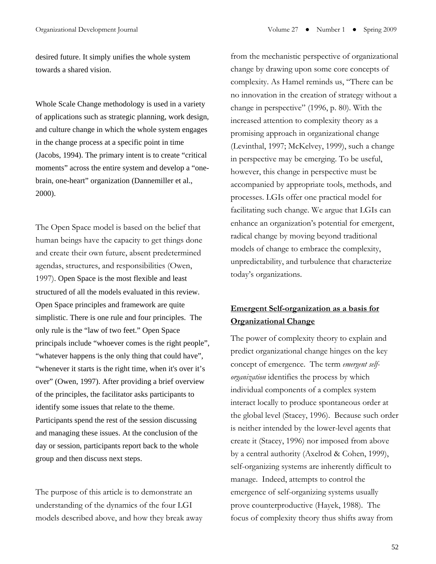desired future. It simply unifies the whole system towards a shared vision.

Whole Scale Change methodology is used in a variety of applications such as strategic planning, work design, and culture change in which the whole system engages in the change process at a specific point in time (Jacobs, 1994). The primary intent is to create "critical moments" across the entire system and develop a "onebrain, one-heart" organization (Dannemiller et al., 2000).

The Open Space model is based on the belief that human beings have the capacity to get things done and create their own future, absent predetermined agendas, structures, and responsibilities (Owen, 1997). Open Space is the most flexible and least structured of all the models evaluated in this review. Open Space principles and framework are quite simplistic. There is one rule and four principles. The only rule is the "law of two feet." Open Space principals include "whoever comes is the right people", "whatever happens is the only thing that could have", "whenever it starts is the right time, when it's over it's over" (Owen, 1997). After providing a brief overview of the principles, the facilitator asks participants to identify some issues that relate to the theme. Participants spend the rest of the session discussing and managing these issues. At the conclusion of the day or session, participants report back to the whole group and then discuss next steps.

The purpose of this article is to demonstrate an understanding of the dynamics of the four LGI models described above, and how they break away from the mechanistic perspective of organizational change by drawing upon some core concepts of complexity. As Hamel reminds us, "There can be no innovation in the creation of strategy without a change in perspective" (1996, p. 80). With the increased attention to complexity theory as a promising approach in organizational change (Levinthal, 1997; McKelvey, 1999), such a change in perspective may be emerging. To be useful, however, this change in perspective must be accompanied by appropriate tools, methods, and processes. LGIs offer one practical model for facilitating such change. We argue that LGIs can enhance an organization's potential for emergent, radical change by moving beyond traditional models of change to embrace the complexity, unpredictability, and turbulence that characterize today's organizations.

# **Emergent Self-organization as a basis for Organizational Change**

The power of complexity theory to explain and predict organizational change hinges on the key concept of emergence. The term *emergent selforganization* identifies the process by which individual components of a complex system interact locally to produce spontaneous order at the global level (Stacey, 1996). Because such order is neither intended by the lower-level agents that create it (Stacey, 1996) nor imposed from above by a central authority (Axelrod & Cohen, 1999), self-organizing systems are inherently difficult to manage. Indeed, attempts to control the emergence of self-organizing systems usually prove counterproductive (Hayek, 1988). The focus of complexity theory thus shifts away from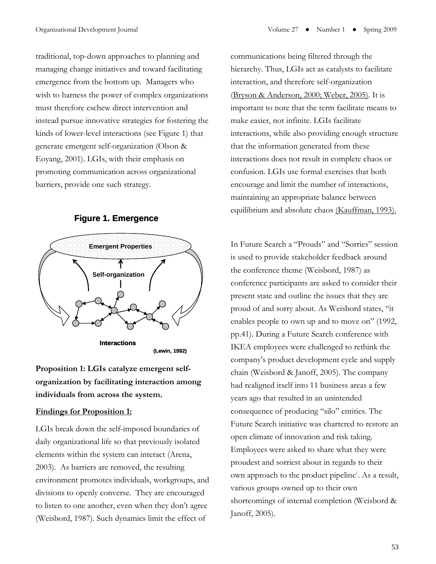traditional, top-down approaches to planning and managing change initiatives and toward facilitating emergence from the bottom up. Managers who wish to harness the power of complex organizations must therefore eschew direct intervention and instead pursue innovative strategies for fostering the kinds of lower-level interactions (see Figure 1) that generate emergent self-organization (Olson & Eoyang, 2001). LGIs, with their emphasis on promoting communication across organizational barriers, provide one such strategy.



#### **Figure 1. Emergence**

**Proposition 1: LGIs catalyze emergent selforganization by facilitating interaction among individuals from across the system.** 

## **Findings for Proposition 1:**

LGIs break down the self-imposed boundaries of daily organizational life so that previously isolated elements within the system can interact (Arena, 2003). As barriers are removed, the resulting environment promotes individuals, workgroups, and divisions to openly converse. They are encouraged to listen to one another, even when they don't agree (Weisbord, 1987). Such dynamics limit the effect of

communications being filtered through the hierarchy. Thus, LGIs act as catalysts to facilitate interaction, and therefore self-organization (Bryson & Anderson, 2000; Weber, 2005). It is important to note that the term facilitate means to make easier, not infinite. LGIs facilitate interactions, while also providing enough structure that the information generated from these interactions does not result in complete chaos or confusion. LGIs use formal exercises that both encourage and limit the number of interactions, maintaining an appropriate balance between equilibrium and absolute chaos (Kauffman, 1993).

In Future Search a "Prouds" and "Sorries" session is used to provide stakeholder feedback around the conference theme (Weisbord, 1987) as conference participants are asked to consider their present state and outline the issues that they are proud of and sorry about. As Weisbord states, "it enables people to own up and to move on" (1992, pp.41). During a Future Search conference with IKEA employees were challenged to rethink the company's product development cycle and supply chain (Weisbord & Janoff, 2005). The company had realigned itself into 11 business areas a few years ago that resulted in an unintended consequence of producing "silo" entities. The Future Search initiative was chartered to restore an open climate of innovation and risk taking. Employees were asked to share what they were proudest and sorriest about in regards to their own approach to the product p[i](#page-16-0)peline<sup>i</sup>. As a result, various groups owned up to their own shortcomings of internal completion (Weisbord & Janoff, 2005).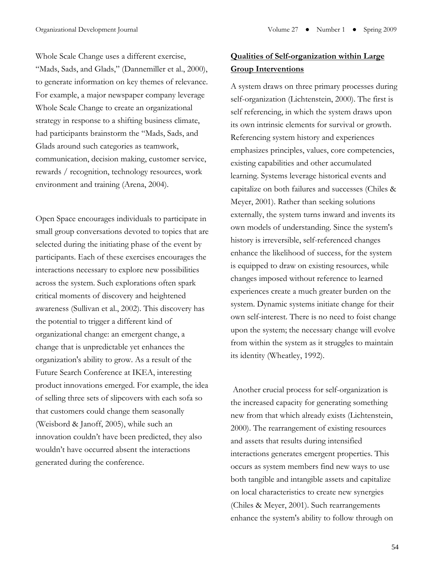Whole Scale Change uses a different exercise, "Mads, Sads, and Glads," (Dannemiller et al., 2000), to generate information on key themes of relevance. For example, a major newspaper company leverage Whole Scale Change to create an organizational strategy in response to a shifting business climate, had participants brainstorm the "Mads, Sads, and Glads around such categories as teamwork, communication, decision making, customer service, rewards / recognition, technology resources, work environment and training (Arena, 2004).

Open Space encourages individuals to participate in small group conversations devoted to topics that are selected during the initiating phase of the event by participants. Each of these exercises encourages the interactions necessary to explore new possibilities across the system. Such explorations often spark critical moments of discovery and heightened awareness (Sullivan et al., 2002). This discovery has the potential to trigger a different kind of organizational change: an emergent change, a change that is unpredictable yet enhances the organization's ability to grow. As a result of the Future Search Conference at IKEA, interesting product innovations emerged. For example, the idea of selling three sets of slipcovers with each sofa so that customers could change them seasonally (Weisbord & Janoff, 2005), while such an innovation couldn't have been predicted, they also wouldn't have occurred absent the interactions generated during the conference.

# **Qualities of Self-organization within Large Group Interventions**

A system draws on three primary processes during self-organization (Lichtenstein, 2000). The first is self referencing, in which the system draws upon its own intrinsic elements for survival or growth. Referencing system history and experiences emphasizes principles, values, core competencies, existing capabilities and other accumulated learning. Systems leverage historical events and capitalize on both failures and successes (Chiles & Meyer, 2001). Rather than seeking solutions externally, the system turns inward and invents its own models of understanding. Since the system's history is irreversible, self-referenced changes enhance the likelihood of success, for the system is equipped to draw on existing resources, while changes imposed without reference to learned experiences create a much greater burden on the system. Dynamic systems initiate change for their own self-interest. There is no need to foist change upon the system; the necessary change will evolve from within the system as it struggles to maintain its identity (Wheatley, 1992).

 Another crucial process for self-organization is the increased capacity for generating something new from that which already exists (Lichtenstein, 2000). The rearrangement of existing resources and assets that results during intensified interactions generates emergent properties. This occurs as system members find new ways to use both tangible and intangible assets and capitalize on local characteristics to create new synergies (Chiles & Meyer, 2001). Such rearrangements enhance the system's ability to follow through on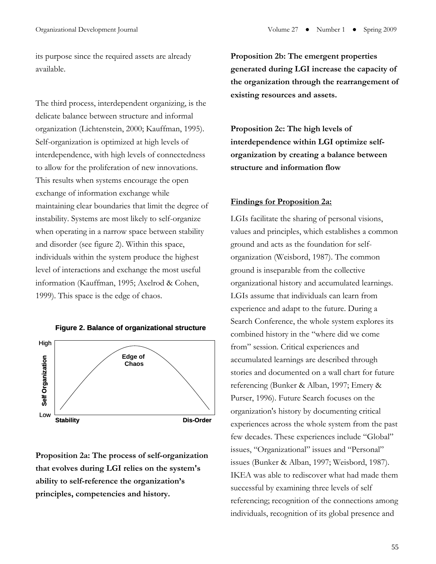its purpose since the required assets are already available.

The third process, interdependent organizing, is the delicate balance between structure and informal organization (Lichtenstein, 2000; Kauffman, 1995). Self-organization is optimized at high levels of interdependence, with high levels of connectedness to allow for the proliferation of new innovations. This results when systems encourage the open exchange of information exchange while maintaining clear boundaries that limit the degree of instability. Systems are most likely to self-organize when operating in a narrow space between stability and disorder (see figure 2). Within this space, individuals within the system produce the highest level of interactions and exchange the most useful information (Kauffman, 1995; Axelrod & Cohen, 1999). This space is the edge of chaos.



#### **Figure 2. Balance of organizational structure**

**Proposition 2a: The process of self-organization that evolves during LGI relies on the system's ability to self-reference the organization's principles, competencies and history.** 

**Proposition 2b: The emergent properties generated during LGI increase the capacity of the organization through the rearrangement of existing resources and assets.** 

**Proposition 2c: The high levels of interdependence within LGI optimize selforganization by creating a balance between structure and information flow** 

## **Findings for Proposition 2a:**

LGIs facilitate the sharing of personal visions, values and principles, which establishes a common ground and acts as the foundation for selforganization (Weisbord, 1987). The common ground is inseparable from the collective organizational history and accumulated learnings. LGIs assume that individuals can learn from experience and adapt to the future. During a Search Conference, the whole system explores its combined history in the "where did we come from" session. Critical experiences and accumulated learnings are described through stories and documented on a wall chart for future referencing (Bunker & Alban, 1997; Emery & Purser, 1996). Future Search focuses on the organization's history by documenting critical experiences across the whole system from the past few decades. These experiences include "Global" issues, "Organizational" issues and "Personal" issues (Bunker & Alban, 1997; Weisbord, 1987). IKEA was able to rediscover what had made them successful by examining three levels of self referencing; recognition of the connections among individuals, recognition of its global presence and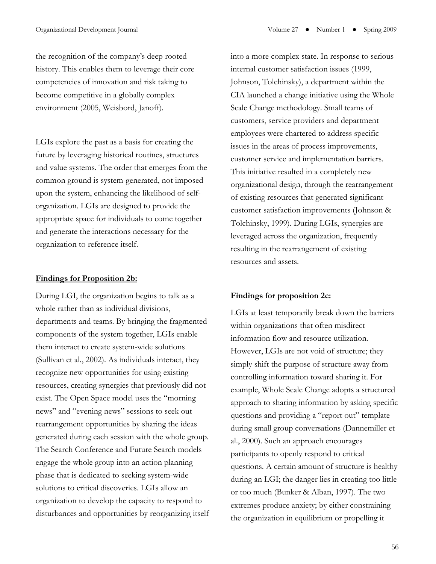the recognition of the company's deep rooted history. This enables them to leverage their core competencies of innovation and risk taking to become competitive in a globally complex environment (2005, Weisbord, Janoff).

LGIs explore the past as a basis for creating the future by leveraging historical routines, structures and value systems. The order that emerges from the common ground is system-generated, not imposed upon the system, enhancing the likelihood of selforganization. LGIs are designed to provide the appropriate space for individuals to come together and generate the interactions necessary for the organization to reference itself.

## **Findings for Proposition 2b:**

During LGI, the organization begins to talk as a whole rather than as individual divisions, departments and teams. By bringing the fragmented components of the system together, LGIs enable them interact to create system-wide solutions (Sullivan et al., 2002). As individuals interact, they recognize new opportunities for using existing resources, creating synergies that previously did not exist. The Open Space model uses the "morning news" and "evening news" sessions to seek out rearrangement opportunities by sharing the ideas generated during each session with the whole group. The Search Conference and Future Search models engage the whole group into an action planning phase that is dedicated to seeking system-wide solutions to critical discoveries. LGIs allow an organization to develop the capacity to respond to disturbances and opportunities by reorganizing itself

into a more complex state. In response to serious internal customer satisfaction issues (1999, Johnson, Tolchinsky), a department within the CIA launched a change initiative using the Whole Scale Change methodology. Small teams of customers, service providers and department employees were chartered to address specific issues in the areas of process improvements, customer service and implementation barriers. This initiative resulted in a completely new organizational design, through the rearrangement of existing resources that generated significant customer satisfaction improvements (Johnson & Tolchinsky, 1999). During LGIs, synergies are leveraged across the organization, frequently resulting in the rearrangement of existing resources and assets.

## **Findings for proposition 2c:**

LGIs at least temporarily break down the barriers within organizations that often misdirect information flow and resource utilization. However, LGIs are not void of structure; they simply shift the purpose of structure away from controlling information toward sharing it. For example, Whole Scale Change adopts a structured approach to sharing information by asking specific questions and providing a "report out" template during small group conversations (Dannemiller et al., 2000). Such an approach encourages participants to openly respond to critical questions. A certain amount of structure is healthy during an LGI; the danger lies in creating too little or too much (Bunker & Alban, 1997). The two extremes produce anxiety; by either constraining the organization in equilibrium or propelling it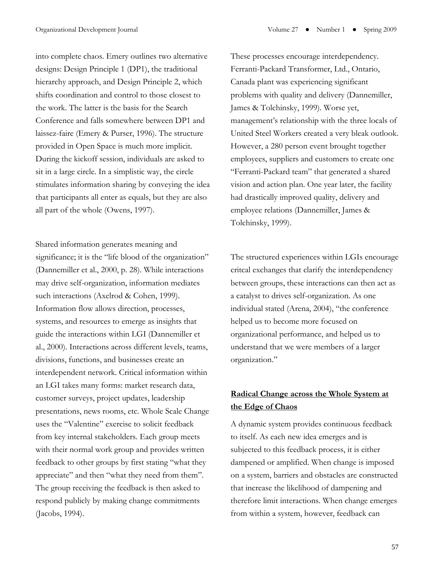into complete chaos. Emery outlines two alternative designs: Design Principle 1 (DP1), the traditional hierarchy approach, and Design Principle 2, which shifts coordination and control to those closest to the work. The latter is the basis for the Search Conference and falls somewhere between DP1 and laissez-faire (Emery & Purser, 1996). The structure provided in Open Space is much more implicit. During the kickoff session, individuals are asked to sit in a large circle. In a simplistic way, the circle stimulates information sharing by conveying the idea that participants all enter as equals, but they are also all part of the whole (Owens, 1997).

Shared information generates meaning and significance; it is the "life blood of the organization" (Dannemiller et al., 2000, p. 28). While interactions may drive self-organization, information mediates such interactions (Axelrod & Cohen, 1999). Information flow allows direction, processes, systems, and resources to emerge as insights that guide the interactions within LGI (Dannemiller et al., 2000). Interactions across different levels, teams, divisions, functions, and businesses create an interdependent network. Critical information within an LGI takes many forms: market research data, customer surveys, project updates, leadership presentations, news rooms, etc. Whole Scale Change uses the "Valentine" exercise to solicit feedback from key internal stakeholders. Each group meets with their normal work group and provides written feedback to other groups by first stating "what they appreciate" and then "what they need from them". The group receiving the feedback is then asked to respond publicly by making change commitments (Jacobs, 1994).

These processes encourage interdependency. Ferranti-Packard Transformer, Ltd., Ontario, Canada plant was experiencing significant problems with quality and delivery (Dannemiller, James & Tolchinsky, 1999). Worse yet, management's relationship with the three locals of United Steel Workers created a very bleak outlook. However, a 280 person event brought together employees, suppliers and customers to create one "Ferranti-Packard team" that generated a shared vision and action plan. One year later, the facility had drastically improved quality, delivery and employee relations (Dannemiller, James & Tolchinsky, 1999).

The structured experiences within LGIs encourage critcal exchanges that clarify the interdependency between groups, these interactions can then act as a catalyst to drives self-organization. As one individual stated (Arena, 2004), "the conference helped us to become more focused on organizational performance, and helped us to understand that we were members of a larger organization."

# **Radical Change across the Whole System at the Edge of Chaos**

A dynamic system provides continuous feedback to itself. As each new idea emerges and is subjected to this feedback process, it is either dampened or amplified. When change is imposed on a system, barriers and obstacles are constructed that increase the likelihood of dampening and therefore limit interactions. When change emerges from within a system, however, feedback can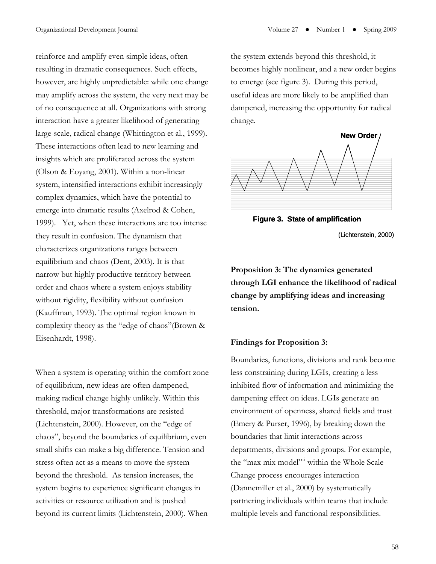reinforce and amplify even simple ideas, often resulting in dramatic consequences. Such effects, however, are highly unpredictable: while one change may amplify across the system, the very next may be of no consequence at all. Organizations with strong interaction have a greater likelihood of generating large-scale, radical change (Whittington et al., 1999). These interactions often lead to new learning and insights which are proliferated across the system (Olson & Eoyang, 2001). Within a non-linear system, intensified interactions exhibit increasingly complex dynamics, which have the potential to emerge into dramatic results (Axelrod & Cohen, 1999). Yet, when these interactions are too intense they result in confusion. The dynamism that characterizes organizations ranges between equilibrium and chaos (Dent, 2003). It is that narrow but highly productive territory between order and chaos where a system enjoys stability without rigidity, flexibility without confusion (Kauffman, 1993). The optimal region known in complexity theory as the "edge of chaos"(Brown & Eisenhardt, 1998).

When a system is operating within the comfort zone of equilibrium, new ideas are often dampened, making radical change highly unlikely. Within this threshold, major transformations are resisted (Lichtenstein, 2000). However, on the "edge of chaos", beyond the boundaries of equilibrium, even small shifts can make a big difference. Tension and stress often act as a means to move the system beyond the threshold. As tension increases, the system begins to experience significant changes in activities or resource utilization and is pushed beyond its current limits (Lichtenstein, 2000). When the system extends beyond this threshold, it becomes highly nonlinear, and a new order begins to emerge (see figure 3). During this period, useful ideas are more likely to be amplified than dampened, increasing the opportunity for radical change.



**Figure 3. State of amplification**

(Lichtenstein, 2000)

**Proposition 3: The dynamics generated through LGI enhance the likelihood of radical change by amplifying ideas and increasing tension.** 

## **Findings for Proposition 3:**

Boundaries, functions, divisions and rank become less constraining during LGIs, creating a less inhibited flow of information and minimizing the dampening effect on ideas. LGIs generate an environment of openness, shared fields and trust (Emery & Purser, 1996), by breaking down the boundaries that limit interactions across departments, divisions and groups. For example, the "max mix model"<sup>[ii](#page-16-1)</sup> within the Whole Scale Change process encourages interaction (Dannemiller et al., 2000) by systematically partnering individuals within teams that include multiple levels and functional responsibilities.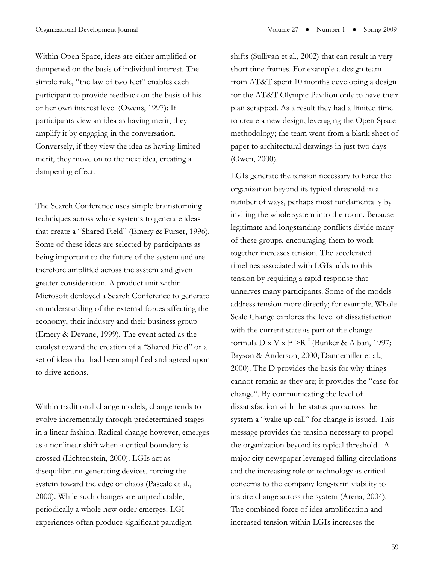Within Open Space, ideas are either amplified or dampened on the basis of individual interest. The simple rule, "the law of two feet" enables each participant to provide feedback on the basis of his or her own interest level (Owens, 1997): If participants view an idea as having merit, they amplify it by engaging in the conversation. Conversely, if they view the idea as having limited merit, they move on to the next idea, creating a dampening effect.

The Search Conference uses simple brainstorming techniques across whole systems to generate ideas that create a "Shared Field" (Emery & Purser, 1996). Some of these ideas are selected by participants as being important to the future of the system and are therefore amplified across the system and given greater consideration. A product unit within Microsoft deployed a Search Conference to generate an understanding of the external forces affecting the economy, their industry and their business group (Emery & Devane, 1999). The event acted as the catalyst toward the creation of a "Shared Field" or a set of ideas that had been amplified and agreed upon to drive actions.

Within traditional change models, change tends to evolve incrementally through predetermined stages in a linear fashion. Radical change however, emerges as a nonlinear shift when a critical boundary is crossed (Lichtenstein, 2000). LGIs act as disequilibrium-generating devices, forcing the system toward the edge of chaos (Pascale et al., 2000). While such changes are unpredictable, periodically a whole new order emerges. LGI experiences often produce significant paradigm

shifts (Sullivan et al., 2002) that can result in very short time frames. For example a design team from AT&T spent 10 months developing a design for the AT&T Olympic Pavilion only to have their plan scrapped. As a result they had a limited time to create a new design, leveraging the Open Space methodology; the team went from a blank sheet of paper to architectural drawings in just two days (Owen, 2000).

LGIs generate the tension necessary to force the organization beyond its typical threshold in a number of ways, perhaps most fundamentally by inviting the whole system into the room. Because legitimate and longstanding conflicts divide many of these groups, encouraging them to work together increases tension. The accelerated timelines associated with LGIs adds to this tension by requiring a rapid response that unnerves many participants. Some of the models address tension more directly; for example, Whole Scale Change explores the level of dissatisfaction with the current state as part of the change formula D x V x F > R  $\mathbb{H}$ (Bunker & Alban, 1997; Bryson & Anderson, 2000; Dannemiller et al., 2000). The D provides the basis for why things cannot remain as they are; it provides the "case for change". By communicating the level of dissatisfaction with the status quo across the system a "wake up call" for change is issued. This message provides the tension necessary to propel the organization beyond its typical threshold. A major city newspaper leveraged falling circulations and the increasing role of technology as critical concerns to the company long-term viability to inspire change across the system (Arena, 2004). The combined force of idea amplification and increased tension within LGIs increases the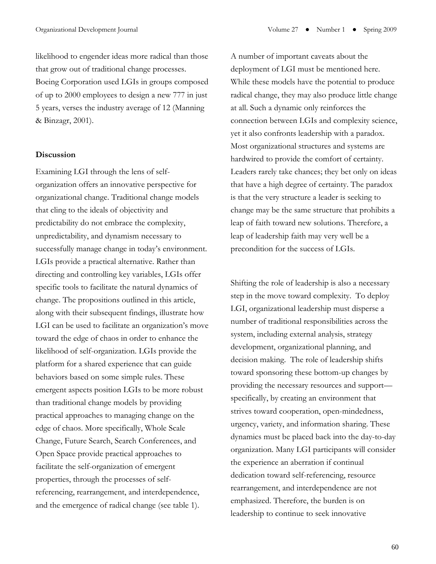likelihood to engender ideas more radical than those that grow out of traditional change processes. Boeing Corporation used LGIs in groups composed of up to 2000 employees to design a new 777 in just 5 years, verses the industry average of 12 (Manning & Binzagr, 2001).

#### **Discussion**

Examining LGI through the lens of selforganization offers an innovative perspective for organizational change. Traditional change models that cling to the ideals of objectivity and predictability do not embrace the complexity, unpredictability, and dynamism necessary to successfully manage change in today's environment. LGIs provide a practical alternative. Rather than directing and controlling key variables, LGIs offer specific tools to facilitate the natural dynamics of change. The propositions outlined in this article, along with their subsequent findings, illustrate how LGI can be used to facilitate an organization's move toward the edge of chaos in order to enhance the likelihood of self-organization. LGIs provide the platform for a shared experience that can guide behaviors based on some simple rules. These emergent aspects position LGIs to be more robust than traditional change models by providing practical approaches to managing change on the edge of chaos. More specifically, Whole Scale Change, Future Search, Search Conferences, and Open Space provide practical approaches to facilitate the self-organization of emergent properties, through the processes of selfreferencing, rearrangement, and interdependence, and the emergence of radical change (see table 1).

A number of important caveats about the deployment of LGI must be mentioned here. While these models have the potential to produce radical change, they may also produce little change at all. Such a dynamic only reinforces the connection between LGIs and complexity science, yet it also confronts leadership with a paradox. Most organizational structures and systems are hardwired to provide the comfort of certainty. Leaders rarely take chances; they bet only on ideas that have a high degree of certainty. The paradox is that the very structure a leader is seeking to change may be the same structure that prohibits a leap of faith toward new solutions. Therefore, a leap of leadership faith may very well be a precondition for the success of LGIs.

Shifting the role of leadership is also a necessary step in the move toward complexity. To deploy LGI, organizational leadership must disperse a number of traditional responsibilities across the system, including external analysis, strategy development, organizational planning, and decision making. The role of leadership shifts toward sponsoring these bottom-up changes by providing the necessary resources and support specifically, by creating an environment that strives toward cooperation, open-mindedness, urgency, variety, and information sharing. These dynamics must be placed back into the day-to-day organization. Many LGI participants will consider the experience an aberration if continual dedication toward self-referencing, resource rearrangement, and interdependence are not emphasized. Therefore, the burden is on leadership to continue to seek innovative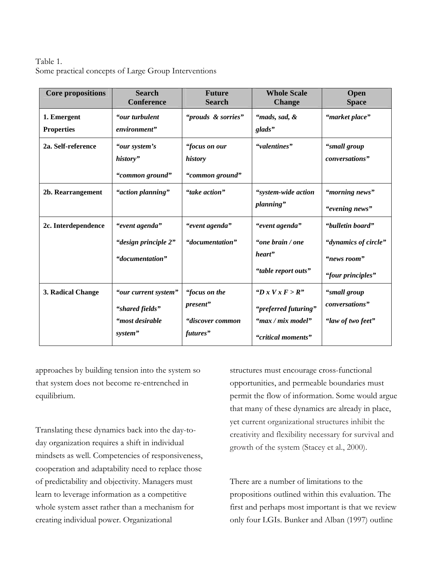# Table 1. Some practical concepts of Large Group Interventions

| <b>Core propositions</b>         | <b>Search</b><br><b>Conference</b>                                    | <b>Future</b><br><b>Search</b>                            | <b>Whole Scale</b><br><b>Change</b>                                                    | Open<br><b>Space</b>                                                         |
|----------------------------------|-----------------------------------------------------------------------|-----------------------------------------------------------|----------------------------------------------------------------------------------------|------------------------------------------------------------------------------|
| 1. Emergent<br><b>Properties</b> | "our turbulent<br>environment"                                        | "prouds & sorries"                                        | "mads, sad, &<br>glads"                                                                | "market place"                                                               |
| 2a. Self-reference               | "our system's<br>history"<br>"common ground"                          | "focus on our<br>history<br>"common ground"               | "valentines"                                                                           | "small group<br>conversations"                                               |
| 2b. Rearrangement                | "action planning"                                                     | "take action"                                             | "system-wide action<br>planning"                                                       | "morning news"<br>"evening news"                                             |
| 2c. Interdependence              | "event agenda"<br>"design principle 2"<br>"documentation"             | "event agenda"<br>"documentation"                         | "event agenda"<br>"one brain / one<br>heart"<br>"table report outs"                    | "bulletin board"<br>"dynamics of circle"<br>"news room"<br>"four principles" |
| 3. Radical Change                | "our current system"<br>"shared fields"<br>"most desirable<br>system" | "focus on the<br>present"<br>"discover common<br>futures" | " $D x V x F > R$ "<br>"preferred futuring"<br>"max / mix model"<br>"critical moments" | "small group<br>conversations"<br>"law of two feet"                          |

approaches by building tension into the system so that system does not become re-entrenched in equilibrium.

Translating these dynamics back into the day-today organization requires a shift in individual mindsets as well. Competencies of responsiveness, cooperation and adaptability need to replace those of predictability and objectivity. Managers must learn to leverage information as a competitive whole system asset rather than a mechanism for creating individual power. Organizational

structures must encourage cross-functional opportunities, and permeable boundaries must permit the flow of information. Some would argue that many of these dynamics are already in place, yet current organizational structures inhibit the creativity and flexibility necessary for survival and growth of the system (Stacey et al., 2000).

There are a number of limitations to the propositions outlined within this evaluation. The first and perhaps most important is that we review only four LGIs. Bunker and Alban (1997) outline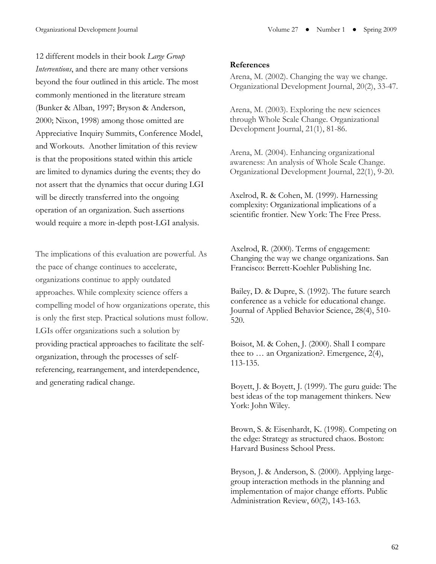12 different models in their book *Large Group Interventions*, and there are many other versions beyond the four outlined in this article. The most commonly mentioned in the literature stream (Bunker & Alban, 1997; Bryson & Anderson, 2000; Nixon, 1998) among those omitted are Appreciative Inquiry Summits, Conference Model, and Workouts. Another limitation of this review is that the propositions stated within this article are limited to dynamics during the events; they do not assert that the dynamics that occur during LGI will be directly transferred into the ongoing operation of an organization. Such assertions would require a more in-depth post-LGI analysis.

The implications of this evaluation are powerful. As the pace of change continues to accelerate, organizations continue to apply outdated approaches. While complexity science offers a compelling model of how organizations operate, this is only the first step. Practical solutions must follow. LGIs offer organizations such a solution by providing practical approaches to facilitate the selforganization, through the processes of selfreferencing, rearrangement, and interdependence, and generating radical change.

#### **References**

Arena, M. (2002). Changing the way we change. Organizational Development Journal, 20(2), 33-47.

Arena, M. (2003). Exploring the new sciences through Whole Scale Change. Organizational Development Journal, 21(1), 81-86.

Arena, M. (2004). Enhancing organizational awareness: An analysis of Whole Scale Change. Organizational Development Journal, 22(1), 9-20.

Axelrod, R. & Cohen, M. (1999). Harnessing complexity: Organizational implications of a scientific frontier. New York: The Free Press.

Axelrod, R. (2000). Terms of engagement: Changing the way we change organizations. San Francisco: Berrett-Koehler Publishing Inc.

Bailey, D. & Dupre, S. (1992). The future search conference as a vehicle for educational change. Journal of Applied Behavior Science, 28(4), 510- 520.

Boisot, M. & Cohen, J. (2000). Shall I compare thee to … an Organization?. Emergence, 2(4), 113-135.

Boyett, J. & Boyett, J. (1999). The guru guide: The best ideas of the top management thinkers. New York: John Wiley.

Brown, S. & Eisenhardt, K. (1998). Competing on the edge: Strategy as structured chaos. Boston: Harvard Business School Press.

Bryson, J. & Anderson, S. (2000). Applying largegroup interaction methods in the planning and implementation of major change efforts. Public Administration Review, 60(2), 143-163.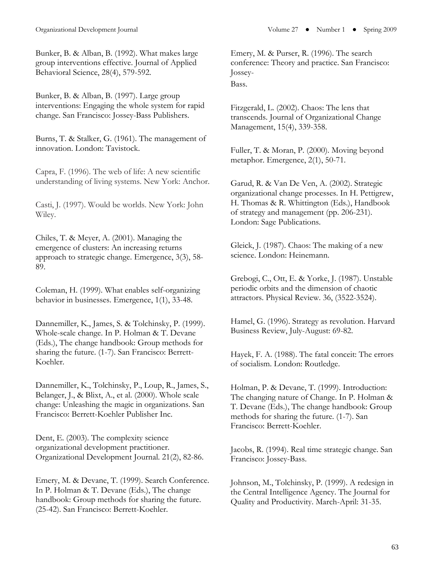Bunker, B. & Alban, B. (1992). What makes large group interventions effective. Journal of Applied Behavioral Science, 28(4), 579-592.

Bunker, B. & Alban, B. (1997). Large group interventions: Engaging the whole system for rapid change. San Francisco: Jossey-Bass Publishers.

Burns, T. & Stalker, G. (1961). The management of innovation. London: Tavistock.

Capra, F. (1996). The web of life: A new scientific understanding of living systems. New York: Anchor.

Casti, J. (1997). Would be worlds. New York: John Wiley.

Chiles, T. & Meyer, A. (2001). Managing the emergence of clusters: An increasing returns approach to strategic change. Emergence, 3(3), 58- 89.

Coleman, H. (1999). What enables self-organizing behavior in businesses. Emergence, 1(1), 33-48.

Dannemiller, K., James, S. & Tolchinsky, P. (1999). Whole-scale change. In P. Holman & T. Devane (Eds.), The change handbook: Group methods for sharing the future. (1-7). San Francisco: Berrett-Koehler.

Dannemiller, K., Tolchinsky, P., Loup, R., James, S., Belanger, J., & Blixt, A., et al. (2000). Whole scale change: Unleashing the magic in organizations. San Francisco: Berrett-Koehler Publisher Inc.

Dent, E. (2003). The complexity science organizational development practitioner. Organizational Development Journal. 21(2), 82-86.

Emery, M. & Devane, T. (1999). Search Conference. In P. Holman & T. Devane (Eds.), The change handbook: Group methods for sharing the future. (25-42). San Francisco: Berrett-Koehler.

Emery, M. & Purser, R. (1996). The search conference: Theory and practice. San Francisco: Jossey-Bass.

Fitzgerald, L. (2002). Chaos: The lens that transcends. Journal of Organizational Change Management, 15(4), 339-358.

Fuller, T. & Moran, P. (2000). Moving beyond metaphor. Emergence, 2(1), 50-71.

Garud, R. & Van De Ven, A. (2002). Strategic organizational change processes. In H. Pettigrew, H. Thomas & R. Whittington (Eds.), Handbook of strategy and management (pp. 206-231). London: Sage Publications.

Gleick, J. (1987). Chaos: The making of a new science. London: Heinemann.

Grebogi, C., Ott, E. & Yorke, J. (1987). Unstable periodic orbits and the dimension of chaotic attractors. Physical Review. 36, (3522-3524).

Hamel, G. (1996). Strategy as revolution. Harvard Business Review, July-August: 69-82.

Hayek, F. A. (1988). The fatal conceit: The errors of socialism. London: Routledge.

Holman, P. & Devane, T. (1999). Introduction: The changing nature of Change. In P. Holman & T. Devane (Eds.), The change handbook: Group methods for sharing the future. (1-7). San Francisco: Berrett-Koehler.

Jacobs, R. (1994). Real time strategic change. San Francisco: Jossey-Bass.

Johnson, M., Tolchinsky, P. (1999). A redesign in the Central Intelligence Agency. The Journal for Quality and Productivity. March-April: 31-35.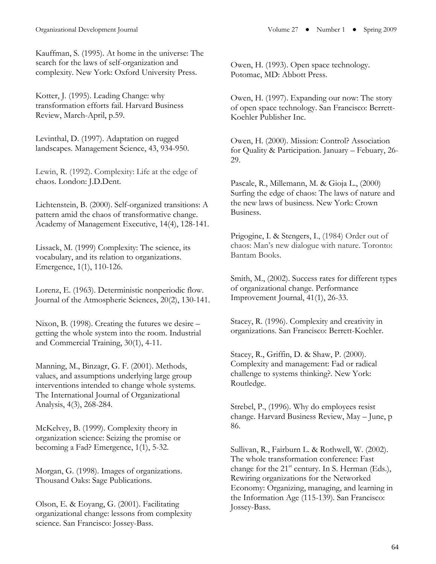Kauffman, S. (1995). At home in the universe: The search for the laws of self-organization and complexity. New York: Oxford University Press.

Kotter, J. (1995). Leading Change: why transformation efforts fail. Harvard Business Review, March-April, p.59.

Levinthal, D. (1997). Adaptation on rugged landscapes. Management Science, 43, 934-950.

Lewin, R. (1992). Complexity: Life at the edge of chaos. London: J.D.Dent.

Lichtenstein, B. (2000). Self-organized transitions: A pattern amid the chaos of transformative change. Academy of Management Executive, 14(4), 128-141.

Lissack, M. (1999) Complexity: The science, its vocabulary, and its relation to organizations. Emergence, 1(1), 110-126.

Lorenz, E. (1963). Deterministic nonperiodic flow. Journal of the Atmospheric Sciences, 20(2), 130-141.

Nixon, B. (1998). Creating the futures we desire – getting the whole system into the room. Industrial and Commercial Training, 30(1), 4-11.

Manning, M., Binzagr, G. F. (2001). Methods, values, and assumptions underlying large group interventions intended to change whole systems. The International Journal of Organizational Analysis, 4(3), 268-284.

McKelvey, B. (1999). Complexity theory in organization science: Seizing the promise or becoming a Fad? Emergence, 1(1), 5-32.

Morgan, G. (1998). Images of organizations. Thousand Oaks: Sage Publications.

Olson, E. & Eoyang, G. (2001). Facilitating organizational change: lessons from complexity science. San Francisco: Jossey-Bass.

Owen, H. (1993). Open space technology. Potomac, MD: Abbott Press.

Owen, H. (1997). Expanding our now: The story of open space technology. San Francisco: Berrett-Koehler Publisher Inc.

Owen, H. (2000). Mission: Control? Association for Quality & Participation. January – Febuary, 26- 29.

Pascale, R., Millemann, M. & Gioja L., (2000) Surfing the edge of chaos: The laws of nature and the new laws of business. New York: Crown Business.

Prigogine, I. & Stengers, I., (1984) Order out of chaos: Man's new dialogue with nature. Toronto: Bantam Books.

Smith, M., (2002). Success rates for different types of organizational change. Performance Improvement Journal, 41(1), 26-33.

Stacey, R. (1996). Complexity and creativity in organizations. San Francisco: Berrett-Koehler.

Stacey, R., Griffin, D. & Shaw, P. (2000). Complexity and management: Fad or radical challenge to systems thinking?. New York: Routledge.

Strebel, P., (1996). Why do employees resist change. Harvard Business Review, May – June, p 86.

Sullivan, R., Fairburn L. & Rothwell, W. (2002). The whole transformation conference: Fast change for the  $21<sup>st</sup>$  century. In S. Herman (Eds.), Rewiring organizations for the Networked Economy: Organizing, managing, and learning in the Information Age (115-139). San Francisco: Jossey-Bass.